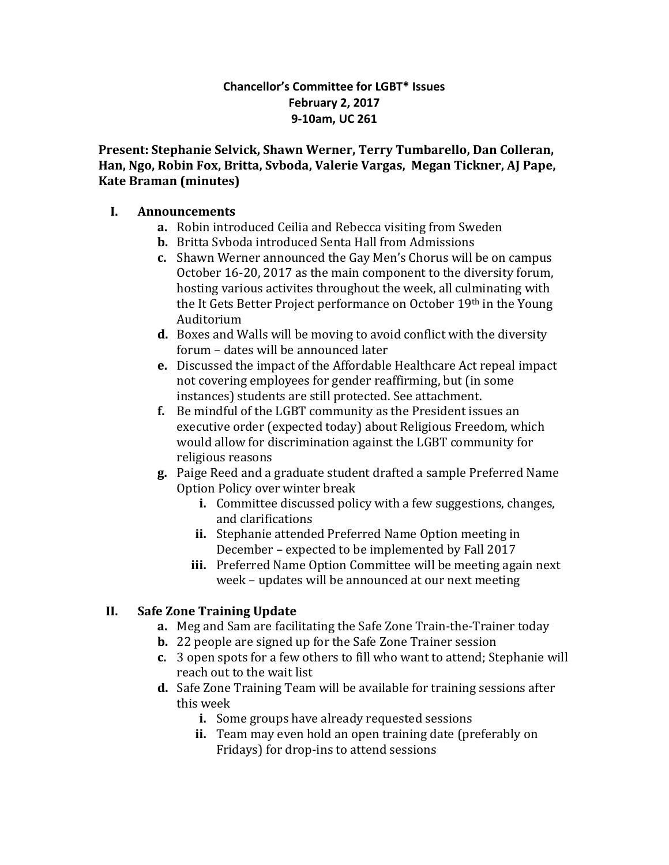#### **Chancellor's Committee for LGBT\* Issues February 2, 2017 9-10am, UC 261**

**Present: Stephanie Selvick, Shawn Werner, Terry Tumbarello, Dan Colleran, Han, Ngo, Robin Fox, Britta, Svboda, Valerie Vargas, Megan Tickner, AJ Pape, Kate Braman (minutes)**

#### **I. Announcements**

- **a.** Robin introduced Ceilia and Rebecca visiting from Sweden
- **b.** Britta Svboda introduced Senta Hall from Admissions
- **c.** Shawn Werner announced the Gay Men's Chorus will be on campus October 16-20, 2017 as the main component to the diversity forum, hosting various activites throughout the week, all culminating with the It Gets Better Project performance on October 19th in the Young Auditorium
- **d.** Boxes and Walls will be moving to avoid conflict with the diversity forum – dates will be announced later
- **e.** Discussed the impact of the Affordable Healthcare Act repeal impact not covering employees for gender reaffirming, but (in some instances) students are still protected. See attachment.
- **f.** Be mindful of the LGBT community as the President issues an executive order (expected today) about Religious Freedom, which would allow for discrimination against the LGBT community for religious reasons
- **g.** Paige Reed and a graduate student drafted a sample Preferred Name Option Policy over winter break
	- **i.** Committee discussed policy with a few suggestions, changes, and clarifications
	- **ii.** Stephanie attended Preferred Name Option meeting in December – expected to be implemented by Fall 2017
	- **iii.** Preferred Name Option Committee will be meeting again next week – updates will be announced at our next meeting

# **II. Safe Zone Training Update**

- **a.** Meg and Sam are facilitating the Safe Zone Train-the-Trainer today
- **b.** 22 people are signed up for the Safe Zone Trainer session
- **c.** 3 open spots for a few others to fill who want to attend; Stephanie will reach out to the wait list
- **d.** Safe Zone Training Team will be available for training sessions after this week
	- **i.** Some groups have already requested sessions
	- **ii.** Team may even hold an open training date (preferably on Fridays) for drop-ins to attend sessions